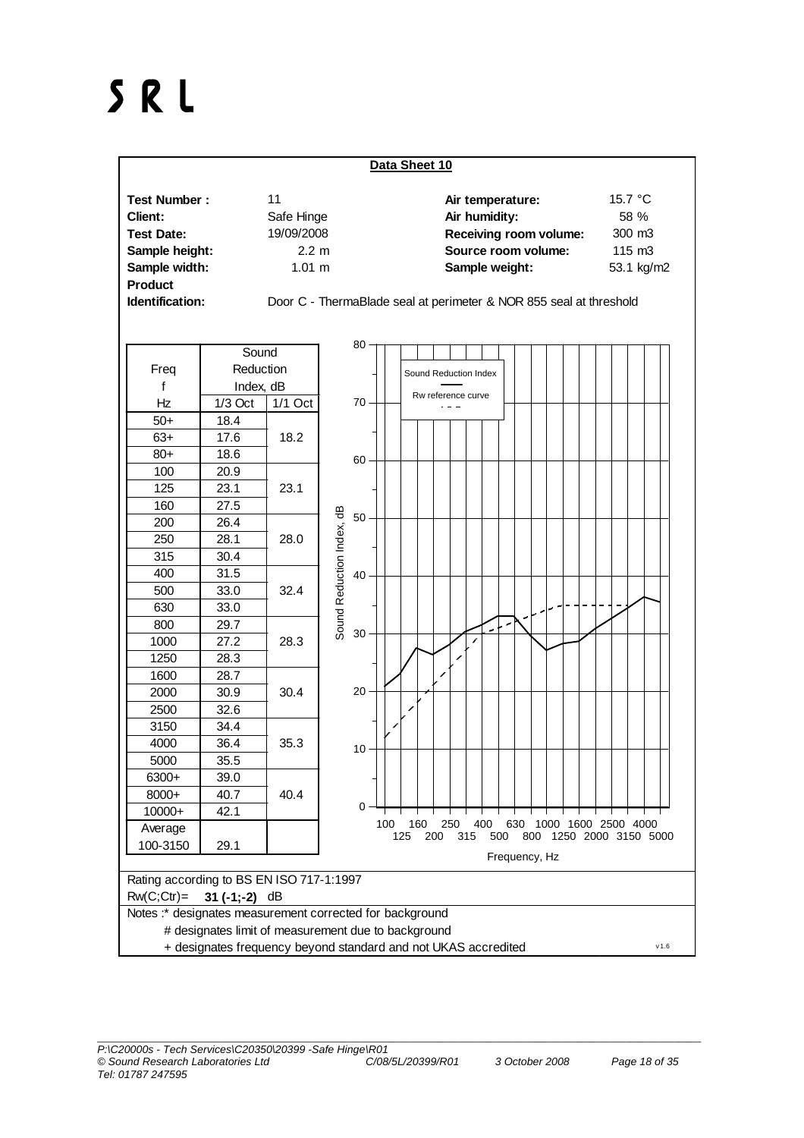## SRL

| Data Sheet 10       |                    |                                                                    |                  |  |  |  |  |  |  |  |  |
|---------------------|--------------------|--------------------------------------------------------------------|------------------|--|--|--|--|--|--|--|--|
| <b>Test Number:</b> | 11                 | Air temperature:                                                   | 15.7 $\degree$ C |  |  |  |  |  |  |  |  |
| Client:             | Safe Hinge         | Air humidity:                                                      | 58 %             |  |  |  |  |  |  |  |  |
| <b>Test Date:</b>   | 19/09/2008         | Receiving room volume:                                             | 300 m3           |  |  |  |  |  |  |  |  |
| Sample height:      | $2.2 \text{ m}$    | Source room volume:                                                | $115 \text{ m}3$ |  |  |  |  |  |  |  |  |
| Sample width:       | $1.01 \; \text{m}$ | Sample weight:                                                     | 53.1 kg/m2       |  |  |  |  |  |  |  |  |
| <b>Product</b>      |                    |                                                                    |                  |  |  |  |  |  |  |  |  |
| Identification:     |                    | Door C - ThermaBlade seal at perimeter & NOR 855 seal at threshold |                  |  |  |  |  |  |  |  |  |

|                                                          | Sound                                                                          |           | 80                        |            |                       |     |     |     |     |                          |     |               |  |  |                                                |  |  |
|----------------------------------------------------------|--------------------------------------------------------------------------------|-----------|---------------------------|------------|-----------------------|-----|-----|-----|-----|--------------------------|-----|---------------|--|--|------------------------------------------------|--|--|
| Freq                                                     | Reduction                                                                      |           |                           |            | Sound Reduction Index |     |     |     |     |                          |     |               |  |  |                                                |  |  |
| f                                                        | Index, dB                                                                      |           |                           |            |                       |     |     |     |     |                          |     |               |  |  |                                                |  |  |
| Hz                                                       | $1/3$ Oct                                                                      | $1/1$ Oct | $70 -$                    |            | Rw reference curve    |     |     |     |     |                          |     |               |  |  |                                                |  |  |
| $50+$                                                    | 18.4                                                                           |           |                           |            |                       |     |     |     |     |                          |     |               |  |  |                                                |  |  |
| $63+$                                                    | 17.6                                                                           | 18.2      |                           |            |                       |     |     |     |     |                          |     |               |  |  |                                                |  |  |
| $80+$                                                    | 18.6                                                                           |           | $60 -$                    |            |                       |     |     |     |     |                          |     |               |  |  |                                                |  |  |
| 100                                                      | 20.9                                                                           |           |                           |            |                       |     |     |     |     |                          |     |               |  |  |                                                |  |  |
| 125                                                      | 23.1                                                                           | 23.1      |                           |            |                       |     |     |     |     |                          |     |               |  |  |                                                |  |  |
| 160                                                      | 27.5                                                                           |           |                           |            |                       |     |     |     |     |                          |     |               |  |  |                                                |  |  |
| 200                                                      | 26.4                                                                           |           | 50 <sub>3</sub>           |            |                       |     |     |     |     |                          |     |               |  |  |                                                |  |  |
| 250                                                      | 28.1                                                                           | 28.0      | Sound Reduction Index, dB |            |                       |     |     |     |     |                          |     |               |  |  |                                                |  |  |
| 315                                                      | 30.4                                                                           |           |                           |            |                       |     |     |     |     |                          |     |               |  |  |                                                |  |  |
| 400                                                      | 31.5                                                                           |           | 40                        |            |                       |     |     |     |     |                          |     |               |  |  |                                                |  |  |
| 500                                                      | 33.0                                                                           | 32.4      |                           |            |                       |     |     |     |     |                          |     |               |  |  |                                                |  |  |
| 630                                                      | 33.0                                                                           |           |                           |            |                       |     |     |     |     |                          |     |               |  |  |                                                |  |  |
| 800                                                      | 29.7                                                                           |           |                           |            |                       |     |     |     |     | $\overline{\phantom{a}}$ |     |               |  |  |                                                |  |  |
| 1000                                                     | 27.2                                                                           | 28.3      | 30                        |            |                       |     |     |     |     |                          |     |               |  |  |                                                |  |  |
| 1250                                                     | 28.3                                                                           |           |                           |            |                       |     |     |     |     |                          |     |               |  |  |                                                |  |  |
| 1600                                                     | 28.7                                                                           |           |                           |            |                       |     |     |     |     |                          |     |               |  |  |                                                |  |  |
| 2000                                                     | 30.9                                                                           | 30.4      | $20 -$                    |            |                       |     |     |     |     |                          |     |               |  |  |                                                |  |  |
| 2500                                                     | 32.6                                                                           |           |                           |            |                       |     |     |     |     |                          |     |               |  |  |                                                |  |  |
| 3150                                                     | 34.4                                                                           |           |                           |            |                       |     |     |     |     |                          |     |               |  |  |                                                |  |  |
| 4000                                                     | 36.4                                                                           | 35.3      | 10 <sup>1</sup>           |            |                       |     |     |     |     |                          |     |               |  |  |                                                |  |  |
| 5000                                                     | 35.5                                                                           |           |                           |            |                       |     |     |     |     |                          |     |               |  |  |                                                |  |  |
| 6300+                                                    | 39.0                                                                           |           |                           |            |                       |     |     |     |     |                          |     |               |  |  |                                                |  |  |
| 8000+                                                    | 40.7                                                                           | 40.4      |                           |            |                       |     |     |     |     |                          |     |               |  |  |                                                |  |  |
| 10000+                                                   | 42.1                                                                           |           | 0                         |            |                       |     |     |     |     |                          |     |               |  |  |                                                |  |  |
| Average                                                  |                                                                                |           |                           | 100<br>125 | 160                   | 200 | 250 | 315 | 400 | 500                      | 630 |               |  |  | 1000 1600 2500 4000<br>800 1250 2000 3150 5000 |  |  |
| 100-3150                                                 | 29.1                                                                           |           |                           |            |                       |     |     |     |     |                          |     |               |  |  |                                                |  |  |
|                                                          |                                                                                |           |                           |            |                       |     |     |     |     |                          |     | Frequency, Hz |  |  |                                                |  |  |
| Rating according to BS EN ISO 717-1:1997                 |                                                                                |           |                           |            |                       |     |     |     |     |                          |     |               |  |  |                                                |  |  |
| $RW(C;ctr) = 31(-1;-2) dB$                               |                                                                                |           |                           |            |                       |     |     |     |     |                          |     |               |  |  |                                                |  |  |
| Notes :* designates measurement corrected for background |                                                                                |           |                           |            |                       |     |     |     |     |                          |     |               |  |  |                                                |  |  |
|                                                          | # designates limit of measurement due to background                            |           |                           |            |                       |     |     |     |     |                          |     |               |  |  |                                                |  |  |
|                                                          | . The state of the contract of the contract of the state of the state $\alpha$ |           |                           |            |                       |     |     |     |     |                          |     |               |  |  |                                                |  |  |